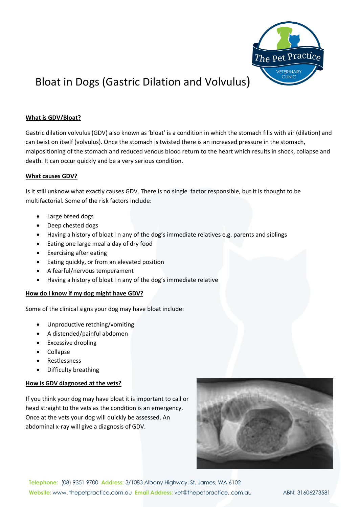

# Bloat in Dogs (Gastric Dilation and Volvulus)

## **What is GDV/Bloat?**

Gastric dilation volvulus (GDV) also known as 'bloat' is a condition in which the stomach fills with air (dilation) and can twist on itself (volvulus). Once the stomach is twisted there is an increased pressure in the stomach, malpositioning of the stomach and reduced venous blood return to the heart which results in shock, collapse and death. It can occur quickly and be a very serious condition.

### **What causes GDV?**

Is it still unknow what exactly causes GDV. There is no single factor responsible, but it is thought to be multifactorial. Some of the risk factors include:

- Large breed dogs
- Deep chested dogs
- Having a history of bloat I n any of the dog's immediate relatives e.g. parents and siblings
- Eating one large meal a day of dry food
- Exercising after eating
- Eating quickly, or from an elevated position
- A fearful/nervous temperament
- Having a history of bloat I n any of the dog's immediate relative

### **How do I know if my dog might have GDV?**

Some of the clinical signs your dog may have bloat include:

- Unproductive retching/vomiting
- A distended/painful abdomen
- Excessive drooling
- Collapse
- **Restlessness**
- Difficulty breathing

## **How is GDV diagnosed at the vets?**

If you think your dog may have bloat it is important to call or head straight to the vets as the condition is an emergency. Once at the vets your dog will quickly be assessed. An abdominal x-ray will give a diagnosis of GDV.



**Telephone:** (08) 9351 9700 **Address:** 3/1083 Albany Highway, St. James, WA 6102 **Website:** www. thepetpractice.com.au **Email Address:** vet@thepetpractice..com.au ABN: 31606273581